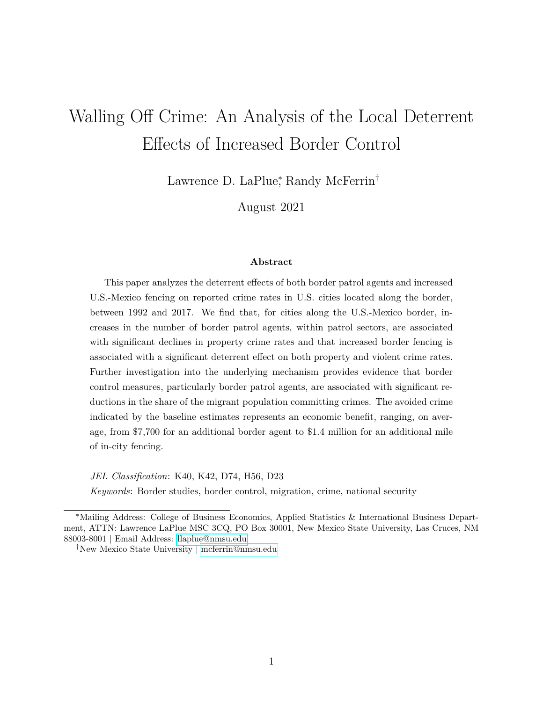## Walling Off Crime: An Analysis of the Local Deterrent Effects of Increased Border Control

Lawrence D. LaPlue<sup>\*</sup>, Randy McFerrin<sup>†</sup>

August 2021

## **Abstract**

This paper analyzes the deterrent effects of both border patrol agents and increased U.S.-Mexico fencing on reported crime rates in U.S. cities located along the border, between 1992 and 2017. We find that, for cities along the U.S.-Mexico border, increases in the number of border patrol agents, within patrol sectors, are associated with significant declines in property crime rates and that increased border fencing is associated with a significant deterrent effect on both property and violent crime rates. Further investigation into the underlying mechanism provides evidence that border control measures, particularly border patrol agents, are associated with significant reductions in the share of the migrant population committing crimes. The avoided crime indicated by the baseline estimates represents an economic benefit, ranging, on average, from \$7,700 for an additional border agent to \$1.4 million for an additional mile of in-city fencing.

*JEL Classification*: K40, K42, D74, H56, D23

*Keywords*: Border studies, border control, migration, crime, national security

<sup>∗</sup>Mailing Address: College of Business Economics, Applied Statistics & International Business Department, ATTN: Lawrence LaPlue MSC 3CQ, PO Box 30001, New Mexico State University, Las Cruces, NM 88003-8001 | Email Address: [llaplue@nmsu.edu](mailto:llaplue@nmsu.edu)

<sup>†</sup>New Mexico State University | [mcferrin@nmsu.edu](mailto:mcferrin@nmsu.edu)